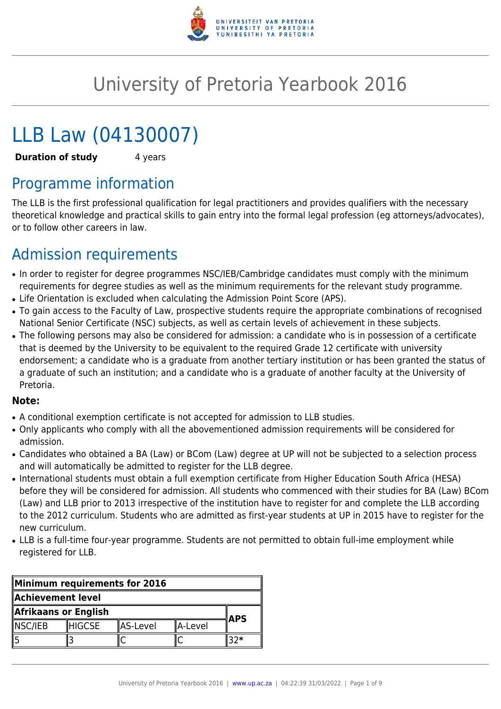

# University of Pretoria Yearbook 2016

# LLB Law (04130007)

**Duration of study** 4 years

# Programme information

The LLB is the first professional qualification for legal practitioners and provides qualifiers with the necessary theoretical knowledge and practical skills to gain entry into the formal legal profession (eg attorneys/advocates), or to follow other careers in law.

# Admission requirements

- In order to register for degree programmes NSC/IEB/Cambridge candidates must comply with the minimum requirements for degree studies as well as the minimum requirements for the relevant study programme.
- Life Orientation is excluded when calculating the Admission Point Score (APS).
- To gain access to the Faculty of Law, prospective students require the appropriate combinations of recognised National Senior Certificate (NSC) subjects, as well as certain levels of achievement in these subjects.
- The following persons may also be considered for admission: a candidate who is in possession of a certificate that is deemed by the University to be equivalent to the required Grade 12 certificate with university endorsement; a candidate who is a graduate from another tertiary institution or has been granted the status of a graduate of such an institution; and a candidate who is a graduate of another faculty at the University of Pretoria.

#### **Note:**

- A conditional exemption certificate is not accepted for admission to LLB studies.
- Only applicants who comply with all the abovementioned admission requirements will be considered for admission.
- Candidates who obtained a BA (Law) or BCom (Law) degree at UP will not be subjected to a selection process and will automatically be admitted to register for the LLB degree.
- International students must obtain a full exemption certificate from Higher Education South Africa (HESA) before they will be considered for admission. All students who commenced with their studies for BA (Law) BCom (Law) and LLB prior to 2013 irrespective of the institution have to register for and complete the LLB according to the 2012 curriculum. Students who are admitted as first-year students at UP in 2015 have to register for the new curriculum.
- LLB is a full-time four-year programme. Students are not permitted to obtain full-ime employment while registered for LLB.

| Minimum requirements for 2016 |                |          |            |  |
|-------------------------------|----------------|----------|------------|--|
| Achievement level             |                |          |            |  |
| Afrikaans or English          |                |          | <b>APS</b> |  |
| NSC/IEB                       | <b>IHIGCSE</b> | AS-Level | A-Level    |  |
|                               |                |          |            |  |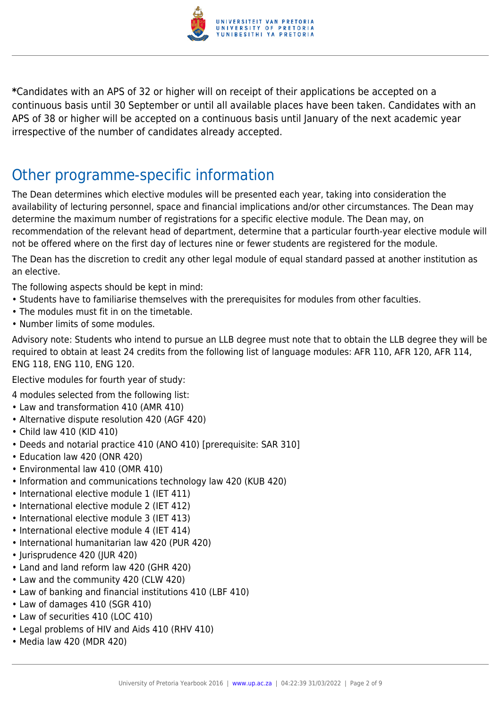

**\***Candidates with an APS of 32 or higher will on receipt of their applications be accepted on a continuous basis until 30 September or until all available places have been taken. Candidates with an APS of 38 or higher will be accepted on a continuous basis until January of the next academic year irrespective of the number of candidates already accepted.

## Other programme-specific information

The Dean determines which elective modules will be presented each year, taking into consideration the availability of lecturing personnel, space and financial implications and/or other circumstances. The Dean may determine the maximum number of registrations for a specific elective module. The Dean may, on recommendation of the relevant head of department, determine that a particular fourth-year elective module will not be offered where on the first day of lectures nine or fewer students are registered for the module.

The Dean has the discretion to credit any other legal module of equal standard passed at another institution as an elective.

The following aspects should be kept in mind:

- Students have to familiarise themselves with the prerequisites for modules from other faculties.
- The modules must fit in on the timetable.
- Number limits of some modules.

Advisory note: Students who intend to pursue an LLB degree must note that to obtain the LLB degree they will be required to obtain at least 24 credits from the following list of language modules: AFR 110, AFR 120, AFR 114, ENG 118, ENG 110, ENG 120.

Elective modules for fourth year of study:

4 modules selected from the following list:

- Law and transformation 410 (AMR 410)
- Alternative dispute resolution 420 (AGF 420)
- Child law 410 (KID 410)
- Deeds and notarial practice 410 (ANO 410) [prerequisite: SAR 310]
- Education law 420 (ONR 420)
- Environmental law 410 (OMR 410)
- Information and communications technology law 420 (KUB 420)
- International elective module 1 (IET 411)
- International elective module 2 (IET 412)
- International elective module 3 (IET 413)
- International elective module 4 (IET 414)
- International humanitarian law 420 (PUR 420)
- Jurisprudence 420 (JUR 420)
- Land and land reform law 420 (GHR 420)
- Law and the community 420 (CLW 420)
- Law of banking and financial institutions 410 (LBF 410)
- Law of damages 410 (SGR 410)
- Law of securities 410 (LOC 410)
- Legal problems of HIV and Aids 410 (RHV 410)
- Media law 420 (MDR 420)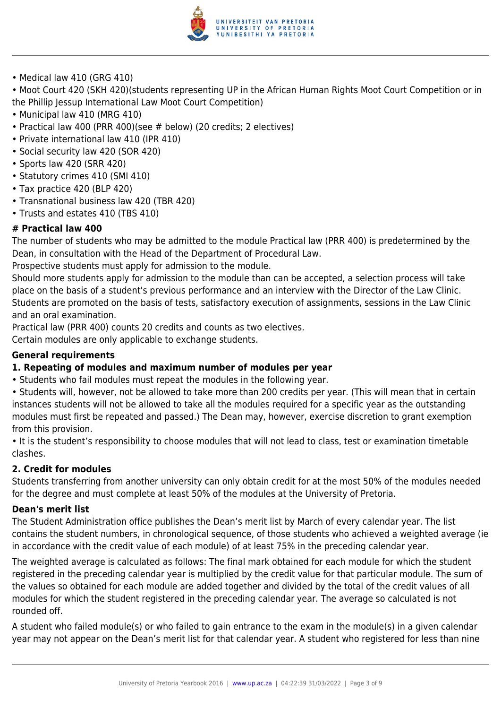

• Medical law 410 (GRG 410)

• Moot Court 420 (SKH 420)(students representing UP in the African Human Rights Moot Court Competition or in the Phillip Jessup International Law Moot Court Competition)

- Municipal law 410 (MRG 410)
- Practical law 400 (PRR 400)(see # below) (20 credits; 2 electives)
- Private international law 410 (IPR 410)
- Social security law 420 (SOR 420)
- Sports law 420 (SRR 420)
- Statutory crimes 410 (SMI 410)
- Tax practice 420 (BLP 420)
- Transnational business law 420 (TBR 420)
- Trusts and estates 410 (TBS 410)

#### **# Practical law 400**

The number of students who may be admitted to the module Practical law (PRR 400) is predetermined by the Dean, in consultation with the Head of the Department of Procedural Law.

Prospective students must apply for admission to the module.

Should more students apply for admission to the module than can be accepted, a selection process will take place on the basis of a student's previous performance and an interview with the Director of the Law Clinic. Students are promoted on the basis of tests, satisfactory execution of assignments, sessions in the Law Clinic and an oral examination.

Practical law (PRR 400) counts 20 credits and counts as two electives.

Certain modules are only applicable to exchange students.

#### **General requirements**

#### **1. Repeating of modules and maximum number of modules per year**

• Students who fail modules must repeat the modules in the following year.

• Students will, however, not be allowed to take more than 200 credits per year. (This will mean that in certain instances students will not be allowed to take all the modules required for a specific year as the outstanding modules must first be repeated and passed.) The Dean may, however, exercise discretion to grant exemption from this provision.

• It is the student's responsibility to choose modules that will not lead to class, test or examination timetable clashes.

#### **2. Credit for modules**

Students transferring from another university can only obtain credit for at the most 50% of the modules needed for the degree and must complete at least 50% of the modules at the University of Pretoria.

#### **Dean's merit list**

The Student Administration office publishes the Dean's merit list by March of every calendar year. The list contains the student numbers, in chronological sequence, of those students who achieved a weighted average (ie in accordance with the credit value of each module) of at least 75% in the preceding calendar year.

The weighted average is calculated as follows: The final mark obtained for each module for which the student registered in the preceding calendar year is multiplied by the credit value for that particular module. The sum of the values so obtained for each module are added together and divided by the total of the credit values of all modules for which the student registered in the preceding calendar year. The average so calculated is not rounded off.

A student who failed module(s) or who failed to gain entrance to the exam in the module(s) in a given calendar year may not appear on the Dean's merit list for that calendar year. A student who registered for less than nine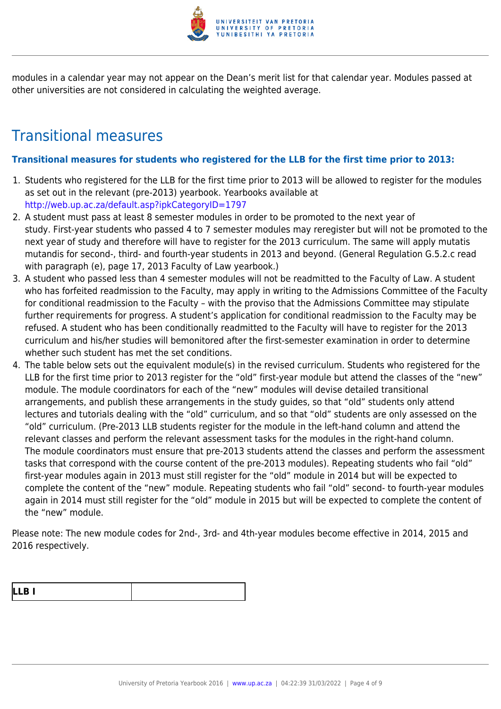

modules in a calendar year may not appear on the Dean's merit list for that calendar year. Modules passed at other universities are not considered in calculating the weighted average.

## Transitional measures

#### **Transitional measures for students who registered for the LLB for the first time prior to 2013:**

- 1. Students who registered for the LLB for the first time prior to 2013 will be allowed to register for the modules as set out in the relevant (pre-2013) yearbook. Yearbooks available at <http://web.up.ac.za/default.asp?ipkCategoryID=1797>
- 2. A student must pass at least 8 semester modules in order to be promoted to the next year of study. First-year students who passed 4 to 7 semester modules may reregister but will not be promoted to the next year of study and therefore will have to register for the 2013 curriculum. The same will apply mutatis mutandis for second-, third- and fourth-year students in 2013 and beyond. (General Regulation G.5.2.c read with paragraph (e), page 17, 2013 Faculty of Law yearbook.)
- 3. A student who passed less than 4 semester modules will not be readmitted to the Faculty of Law. A student who has forfeited readmission to the Faculty, may apply in writing to the Admissions Committee of the Faculty for conditional readmission to the Faculty – with the proviso that the Admissions Committee may stipulate further requirements for progress. A student's application for conditional readmission to the Faculty may be refused. A student who has been conditionally readmitted to the Faculty will have to register for the 2013 curriculum and his/her studies will bemonitored after the first-semester examination in order to determine whether such student has met the set conditions.
- 4. The table below sets out the equivalent module(s) in the revised curriculum. Students who registered for the LLB for the first time prior to 2013 register for the "old" first-year module but attend the classes of the "new" module. The module coordinators for each of the "new" modules will devise detailed transitional arrangements, and publish these arrangements in the study guides, so that "old" students only attend lectures and tutorials dealing with the "old" curriculum, and so that "old" students are only assessed on the "old" curriculum. (Pre-2013 LLB students register for the module in the left-hand column and attend the relevant classes and perform the relevant assessment tasks for the modules in the right-hand column. The module coordinators must ensure that pre-2013 students attend the classes and perform the assessment tasks that correspond with the course content of the pre-2013 modules). Repeating students who fail "old" first-year modules again in 2013 must still register for the "old" module in 2014 but will be expected to complete the content of the "new" module. Repeating students who fail "old" second- to fourth-year modules again in 2014 must still register for the "old" module in 2015 but will be expected to complete the content of the "new" module.

Please note: The new module codes for 2nd-, 3rd- and 4th-year modules become effective in 2014, 2015 and 2016 respectively.

| L<br>. .<br>$\blacksquare$ |  |
|----------------------------|--|
|----------------------------|--|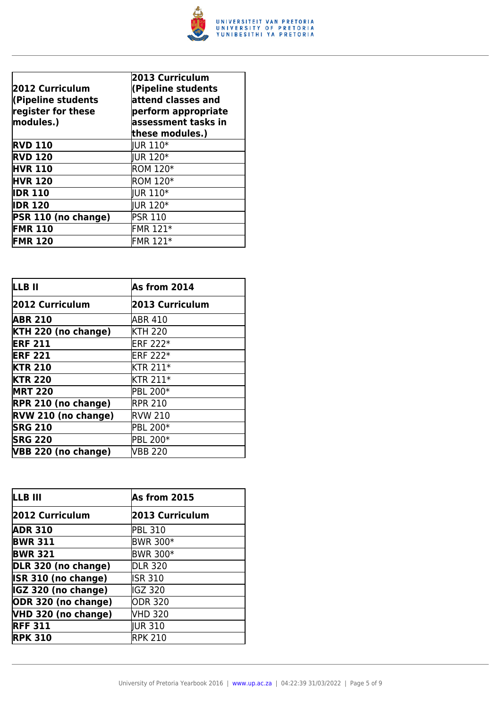

| 2012 Curriculum<br>(Pipeline students<br>register for these<br>modules.) | 2013 Curriculum<br>(Pipeline students<br>attend classes and<br>perform appropriate<br>assessment tasks in<br>these modules.) |
|--------------------------------------------------------------------------|------------------------------------------------------------------------------------------------------------------------------|
| <b>RVD 110</b>                                                           | <b>IUR 110*</b>                                                                                                              |
| <b>RVD 120</b>                                                           | <b>IUR 120*</b>                                                                                                              |
| <b>HVR 110</b>                                                           | <b>ROM 120*</b>                                                                                                              |
| <b>HVR 120</b>                                                           | <b>ROM 120*</b>                                                                                                              |
| <b>IDR 110</b>                                                           | <b>IUR 110*</b>                                                                                                              |
| <b>IDR 120</b>                                                           | <b>IUR 120*</b>                                                                                                              |
| PSR 110 (no change)                                                      | <b>PSR 110</b>                                                                                                               |
| <b>FMR 110</b>                                                           | FMR 121*                                                                                                                     |
| <b>FMR 120</b>                                                           | FMR 121*                                                                                                                     |

| <b>LLB II</b>              | As from 2014    |
|----------------------------|-----------------|
| 2012 Curriculum            | 2013 Curriculum |
| <b>ABR 210</b>             | ABR 410         |
| KTH 220 (no change)        | <b>KTH 220</b>  |
| <b>ERF 211</b>             | <b>ERF 222*</b> |
| <b>ERF 221</b>             | <b>ERF 222*</b> |
| <b>KTR 210</b>             | <b>KTR 211*</b> |
| <b>KTR 220</b>             | <b>KTR 211*</b> |
| <b>MRT 220</b>             | PBL 200*        |
| <b>RPR 210 (no change)</b> | <b>RPR 210</b>  |
| RVW 210 (no change)        | <b>RVW 210</b>  |
| <b>SRG 210</b>             | PBL 200*        |
| <b>SRG 220</b>             | PBL 200*        |
| VBB 220 (no change)        | <b>VBB 220</b>  |

| LLB III             | As from 2015    |
|---------------------|-----------------|
| 2012 Curriculum     | 2013 Curriculum |
| <b>ADR 310</b>      | <b>PBL 310</b>  |
| <b>BWR 311</b>      | <b>BWR 300*</b> |
| <b>BWR 321</b>      | <b>BWR 300*</b> |
| DLR 320 (no change) | <b>DLR 320</b>  |
| ISR 310 (no change) | <b>ISR 310</b>  |
| IGZ 320 (no change) | IGZ 320         |
| ODR 320 (no change) | ODR 320         |
| VHD 320 (no change) | VHD 320         |
| <b>RFF 311</b>      | <b>IUR 310</b>  |
| <b>RPK 310</b>      | <b>RPK 210</b>  |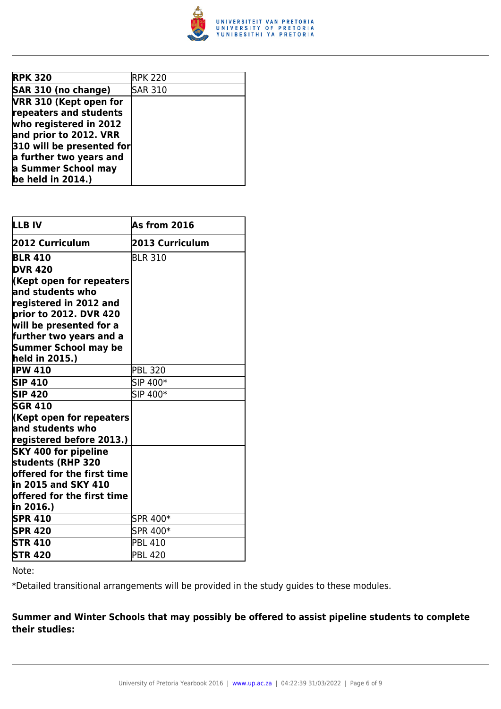

| <b>RPK 320</b>            | <b>RPK 220</b> |
|---------------------------|----------------|
| SAR 310 (no change)       | <b>SAR 310</b> |
| VRR 310 (Kept open for    |                |
| repeaters and students    |                |
| who registered in 2012    |                |
| and prior to 2012. VRR    |                |
| 310 will be presented for |                |
| a further two years and   |                |
| a Summer School may       |                |
| be held in $2014.$ )      |                |

| LLB IV                                           | As from 2016    |
|--------------------------------------------------|-----------------|
| 2012 Curriculum                                  | 2013 Curriculum |
| <b>BLR 410</b>                                   | <b>BLR 310</b>  |
| <b>DVR 420</b>                                   |                 |
| Kept open for repeaters                          |                 |
| and students who                                 |                 |
| registered in 2012 and                           |                 |
| prior to 2012. DVR 420                           |                 |
| will be presented for a                          |                 |
| further two years and a                          |                 |
| Summer School may be                             |                 |
| held in 2015.)                                   |                 |
| <b>IPW 410</b>                                   | <b>PBL 320</b>  |
| <b>SIP 410</b>                                   | SIP 400*        |
| <b>SIP 420</b>                                   | SIP 400*        |
| <b>SGR 410</b>                                   |                 |
| Kept open for repeaters                          |                 |
| $\,$ and students who                            |                 |
| registered before 2013.)                         |                 |
| <b>SKY 400 for pipeline</b>                      |                 |
| students (RHP 320                                |                 |
| $offered for the first time \,$                  |                 |
| in 2015 and SKY 410                              |                 |
| $\operatorname{\sf loffered}$ for the first time |                 |
| in 2016.)                                        |                 |
| <b>SPR 410</b>                                   | SPR 400*        |
| <b>SPR 420</b>                                   | SPR 400*        |
| <b>STR 410</b>                                   | <b>PBL 410</b>  |
| <b>STR 420</b>                                   | <b>PBL 420</b>  |

Note:

\*Detailed transitional arrangements will be provided in the study guides to these modules.

#### **Summer and Winter Schools that may possibly be offered to assist pipeline students to complete their studies:**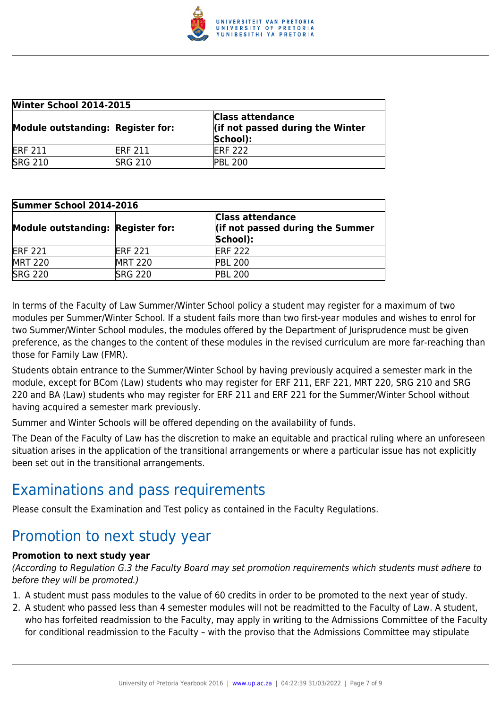

| <b>Winter School 2014-2015</b>    |                 |                                                                         |
|-----------------------------------|-----------------|-------------------------------------------------------------------------|
| Module outstanding: Register for: |                 | <b>Class attendance</b><br>lif not passed during the Winter<br>School): |
| <b>ERF 211</b>                    | <b>IERF 211</b> | <b>IERF 222</b>                                                         |
| <b>SRG 210</b>                    | <b>SRG 210</b>  | <b>PBL 200</b>                                                          |

| Summer School 2014-2016           |                 |                                                                         |
|-----------------------------------|-----------------|-------------------------------------------------------------------------|
| Module outstanding: Register for: |                 | <b>Class attendance</b><br>lif not passed during the Summer<br>School): |
| <b>ERF 221</b>                    | <b>IERF 221</b> | <b>ERF 222</b>                                                          |
| <b>MRT 220</b>                    | <b>IMRT 220</b> | <b>PBL 200</b>                                                          |
| <b>SRG 220</b>                    | <b>SRG 220</b>  | <b>PBL 200</b>                                                          |

In terms of the Faculty of Law Summer/Winter School policy a student may register for a maximum of two modules per Summer/Winter School. If a student fails more than two first-year modules and wishes to enrol for two Summer/Winter School modules, the modules offered by the Department of Jurisprudence must be given preference, as the changes to the content of these modules in the revised curriculum are more far-reaching than those for Family Law (FMR).

Students obtain entrance to the Summer/Winter School by having previously acquired a semester mark in the module, except for BCom (Law) students who may register for ERF 211, ERF 221, MRT 220, SRG 210 and SRG 220 and BA (Law) students who may register for ERF 211 and ERF 221 for the Summer/Winter School without having acquired a semester mark previously.

Summer and Winter Schools will be offered depending on the availability of funds.

The Dean of the Faculty of Law has the discretion to make an equitable and practical ruling where an unforeseen situation arises in the application of the transitional arrangements or where a particular issue has not explicitly been set out in the transitional arrangements.

### Examinations and pass requirements

Please consult the Examination and Test policy as contained in the Faculty Regulations.

### Promotion to next study year

#### **Promotion to next study year**

(According to Regulation G.3 the Faculty Board may set promotion requirements which students must adhere to before they will be promoted.)

- 1. A student must pass modules to the value of 60 credits in order to be promoted to the next year of study.
- 2. A student who passed less than 4 semester modules will not be readmitted to the Faculty of Law. A student, who has forfeited readmission to the Faculty, may apply in writing to the Admissions Committee of the Faculty for conditional readmission to the Faculty – with the proviso that the Admissions Committee may stipulate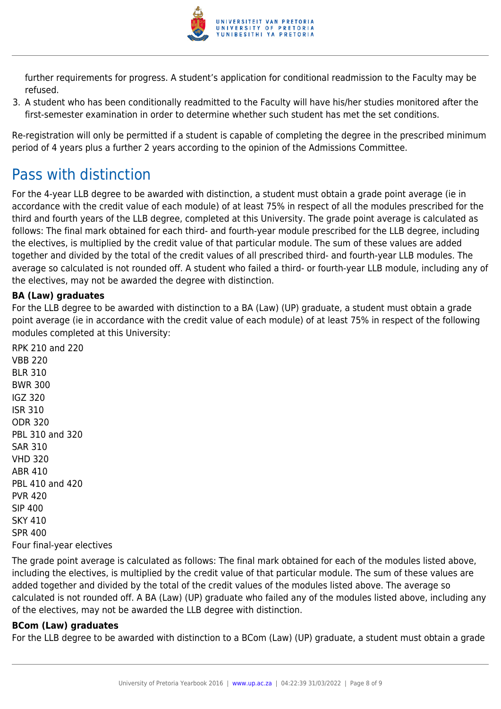

further requirements for progress. A student's application for conditional readmission to the Faculty may be refused.

3. A student who has been conditionally readmitted to the Faculty will have his/her studies monitored after the first-semester examination in order to determine whether such student has met the set conditions.

Re-registration will only be permitted if a student is capable of completing the degree in the prescribed minimum period of 4 years plus a further 2 years according to the opinion of the Admissions Committee.

## Pass with distinction

For the 4-year LLB degree to be awarded with distinction, a student must obtain a grade point average (ie in accordance with the credit value of each module) of at least 75% in respect of all the modules prescribed for the third and fourth years of the LLB degree, completed at this University. The grade point average is calculated as follows: The final mark obtained for each third- and fourth-year module prescribed for the LLB degree, including the electives, is multiplied by the credit value of that particular module. The sum of these values are added together and divided by the total of the credit values of all prescribed third- and fourth-year LLB modules. The average so calculated is not rounded off. A student who failed a third- or fourth-year LLB module, including any of the electives, may not be awarded the degree with distinction.

#### **BA (Law) graduates**

For the LLB degree to be awarded with distinction to a BA (Law) (UP) graduate, a student must obtain a grade point average (ie in accordance with the credit value of each module) of at least 75% in respect of the following modules completed at this University:

RPK 210 and 220 VBB 220 BLR 310 BWR 300 IGZ 320 ISR 310 ODR 320 PBL 310 and 320 SAR 310 VHD 320 ABR 410 PBL 410 and 420 PVR 420 SIP 400 SKY 410 SPR 400 Four final-year electives

The grade point average is calculated as follows: The final mark obtained for each of the modules listed above, including the electives, is multiplied by the credit value of that particular module. The sum of these values are added together and divided by the total of the credit values of the modules listed above. The average so calculated is not rounded off. A BA (Law) (UP) graduate who failed any of the modules listed above, including any of the electives, may not be awarded the LLB degree with distinction.

#### **BCom (Law) graduates**

For the LLB degree to be awarded with distinction to a BCom (Law) (UP) graduate, a student must obtain a grade